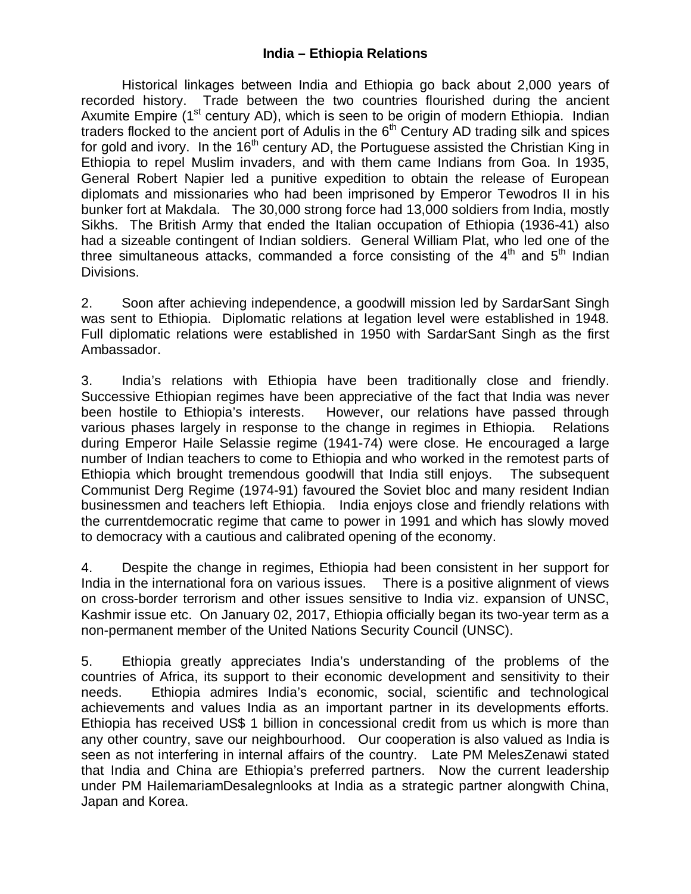#### **India – Ethiopia Relations**

Historical linkages between India and Ethiopia go back about 2,000 years of recorded history. Trade between the two countries flourished during the ancient Axumite Empire ( $1<sup>st</sup>$  century AD), which is seen to be origin of modern Ethiopia. Indian traders flocked to the ancient port of Adulis in the  $6<sup>th</sup>$  Century AD trading silk and spices for gold and ivory. In the  $16<sup>th</sup>$  century AD, the Portuguese assisted the Christian King in Ethiopia to repel Muslim invaders, and with them came Indians from Goa. In 1935, General Robert Napier led a punitive expedition to obtain the release of European diplomats and missionaries who had been imprisoned by Emperor Tewodros II in his bunker fort at Makdala. The 30,000 strong force had 13,000 soldiers from India, mostly Sikhs. The British Army that ended the Italian occupation of Ethiopia (1936-41) also had a sizeable contingent of Indian soldiers. General William Plat, who led one of the three simultaneous attacks, commanded a force consisting of the  $4<sup>th</sup>$  and  $5<sup>th</sup>$  Indian Divisions.

2. Soon after achieving independence, a goodwill mission led by SardarSant Singh was sent to Ethiopia. Diplomatic relations at legation level were established in 1948. Full diplomatic relations were established in 1950 with SardarSant Singh as the first Ambassador.

3. India's relations with Ethiopia have been traditionally close and friendly. Successive Ethiopian regimes have been appreciative of the fact that India was never been hostile to Ethiopia's interests. However, our relations have passed through various phases largely in response to the change in regimes in Ethiopia. Relations during Emperor Haile Selassie regime (1941-74) were close. He encouraged a large number of Indian teachers to come to Ethiopia and who worked in the remotest parts of Ethiopia which brought tremendous goodwill that India still enjoys. The subsequent Communist Derg Regime (1974-91) favoured the Soviet bloc and many resident Indian businessmen and teachers left Ethiopia. India enjoys close and friendly relations with the currentdemocratic regime that came to power in 1991 and which has slowly moved to democracy with a cautious and calibrated opening of the economy.

4. Despite the change in regimes, Ethiopia had been consistent in her support for India in the international fora on various issues. There is a positive alignment of views on cross-border terrorism and other issues sensitive to India viz. expansion of UNSC, Kashmir issue etc. On January 02, 2017, Ethiopia officially began its two-year term as a non-permanent member of the United Nations Security Council (UNSC).

5. Ethiopia greatly appreciates India's understanding of the problems of the countries of Africa, its support to their economic development and sensitivity to their needs. Ethiopia admires India's economic, social, scientific and technological achievements and values India as an important partner in its developments efforts. Ethiopia has received US\$ 1 billion in concessional credit from us which is more than any other country, save our neighbourhood. Our cooperation is also valued as India is seen as not interfering in internal affairs of the country. Late PM MelesZenawi stated that India and China are Ethiopia's preferred partners. Now the current leadership under PM HailemariamDesalegnlooks at India as a strategic partner alongwith China, Japan and Korea.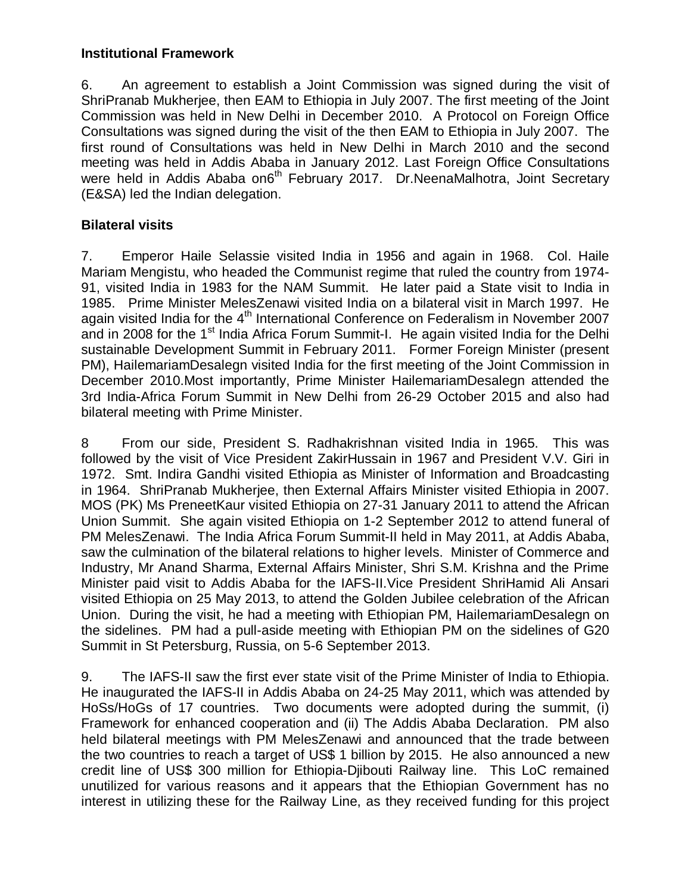#### **Institutional Framework**

6. An agreement to establish a Joint Commission was signed during the visit of ShriPranab Mukherjee, then EAM to Ethiopia in July 2007. The first meeting of the Joint Commission was held in New Delhi in December 2010. A Protocol on Foreign Office Consultations was signed during the visit of the then EAM to Ethiopia in July 2007. The first round of Consultations was held in New Delhi in March 2010 and the second meeting was held in Addis Ababa in January 2012. Last Foreign Office Consultations were held in Addis Ababa on6<sup>th</sup> February 2017. Dr.NeenaMalhotra, Joint Secretary (E&SA) led the Indian delegation.

### **Bilateral visits**

7. Emperor Haile Selassie visited India in 1956 and again in 1968. Col. Haile Mariam Mengistu, who headed the Communist regime that ruled the country from 1974- 91, visited India in 1983 for the NAM Summit. He later paid a State visit to India in 1985. Prime Minister MelesZenawi visited India on a bilateral visit in March 1997. He again visited India for the 4<sup>th</sup> International Conference on Federalism in November 2007 and in 2008 for the 1<sup>st</sup> India Africa Forum Summit-I. He again visited India for the Delhi sustainable Development Summit in February 2011. Former Foreign Minister (present PM), HailemariamDesalegn visited India for the first meeting of the Joint Commission in December 2010.Most importantly, Prime Minister HailemariamDesalegn attended the 3rd India-Africa Forum Summit in New Delhi from 26-29 October 2015 and also had bilateral meeting with Prime Minister.

8 From our side, President S. Radhakrishnan visited India in 1965. This was followed by the visit of Vice President ZakirHussain in 1967 and President V.V. Giri in 1972. Smt. Indira Gandhi visited Ethiopia as Minister of Information and Broadcasting in 1964. ShriPranab Mukherjee, then External Affairs Minister visited Ethiopia in 2007. MOS (PK) Ms PreneetKaur visited Ethiopia on 27-31 January 2011 to attend the African Union Summit. She again visited Ethiopia on 1-2 September 2012 to attend funeral of PM MelesZenawi. The India Africa Forum Summit-II held in May 2011, at Addis Ababa, saw the culmination of the bilateral relations to higher levels. Minister of Commerce and Industry, Mr Anand Sharma, External Affairs Minister, Shri S.M. Krishna and the Prime Minister paid visit to Addis Ababa for the IAFS-II.Vice President ShriHamid Ali Ansari visited Ethiopia on 25 May 2013, to attend the Golden Jubilee celebration of the African Union. During the visit, he had a meeting with Ethiopian PM, HailemariamDesalegn on the sidelines. PM had a pull-aside meeting with Ethiopian PM on the sidelines of G20 Summit in St Petersburg, Russia, on 5-6 September 2013.

9. The IAFS-II saw the first ever state visit of the Prime Minister of India to Ethiopia. He inaugurated the IAFS-II in Addis Ababa on 24-25 May 2011, which was attended by HoSs/HoGs of 17 countries. Two documents were adopted during the summit, (i) Framework for enhanced cooperation and (ii) The Addis Ababa Declaration. PM also held bilateral meetings with PM MelesZenawi and announced that the trade between the two countries to reach a target of US\$ 1 billion by 2015. He also announced a new credit line of US\$ 300 million for Ethiopia-Djibouti Railway line. This LoC remained unutilized for various reasons and it appears that the Ethiopian Government has no interest in utilizing these for the Railway Line, as they received funding for this project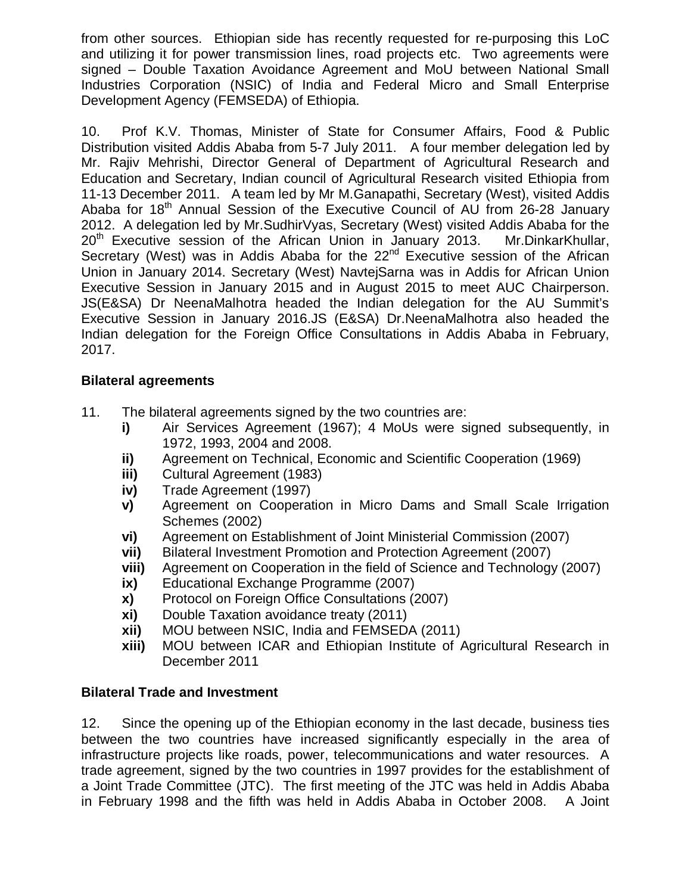from other sources. Ethiopian side has recently requested for re-purposing this LoC and utilizing it for power transmission lines, road projects etc. Two agreements were signed – Double Taxation Avoidance Agreement and MoU between National Small Industries Corporation (NSIC) of India and Federal Micro and Small Enterprise Development Agency (FEMSEDA) of Ethiopia.

10. Prof K.V. Thomas, Minister of State for Consumer Affairs, Food & Public Distribution visited Addis Ababa from 5-7 July 2011. A four member delegation led by Mr. Rajiv Mehrishi, Director General of Department of Agricultural Research and Education and Secretary, Indian council of Agricultural Research visited Ethiopia from 11-13 December 2011. A team led by Mr M.Ganapathi, Secretary (West), visited Addis Ababa for  $18<sup>th</sup>$  Annual Session of the Executive Council of AU from 26-28 January 2012. A delegation led by Mr.SudhirVyas, Secretary (West) visited Addis Ababa for the  $20<sup>th</sup>$  Executive session of the African Union in January 2013. Mr.DinkarKhullar, Secretary (West) was in Addis Ababa for the  $22<sup>nd</sup>$  Executive session of the African Union in January 2014. Secretary (West) NavtejSarna was in Addis for African Union Executive Session in January 2015 and in August 2015 to meet AUC Chairperson. JS(E&SA) Dr NeenaMalhotra headed the Indian delegation for the AU Summit's Executive Session in January 2016.JS (E&SA) Dr.NeenaMalhotra also headed the Indian delegation for the Foreign Office Consultations in Addis Ababa in February, 2017.

#### **Bilateral agreements**

- 11. The bilateral agreements signed by the two countries are:
	- **i)** Air Services Agreement (1967); 4 MoUs were signed subsequently, in 1972, 1993, 2004 and 2008.
	- **ii)** Agreement on Technical, Economic and Scientific Cooperation (1969)
	- **iii)** Cultural Agreement (1983)
	- **iv)** Trade Agreement (1997)
	- **v)** Agreement on Cooperation in Micro Dams and Small Scale Irrigation Schemes (2002)
	- **vi)** Agreement on Establishment of Joint Ministerial Commission (2007)
	- **vii)** Bilateral Investment Promotion and Protection Agreement (2007)
	- **viii)** Agreement on Cooperation in the field of Science and Technology (2007) **ix)** Educational Exchange Programme (2007)
	- **ix)** Educational Exchange Programme (2007)
	- **x)** Protocol on Foreign Office Consultations (2007)
	- **xi)** Double Taxation avoidance treaty (2011)
	- **xii)** MOU between NSIC, India and FEMSEDA (2011)
	- **xiii)** MOU between ICAR and Ethiopian Institute of Agricultural Research in December 2011

## **Bilateral Trade and Investment**

12. Since the opening up of the Ethiopian economy in the last decade, business ties between the two countries have increased significantly especially in the area of infrastructure projects like roads, power, telecommunications and water resources. A trade agreement, signed by the two countries in 1997 provides for the establishment of a Joint Trade Committee (JTC). The first meeting of the JTC was held in Addis Ababa in February 1998 and the fifth was held in Addis Ababa in October 2008. A Joint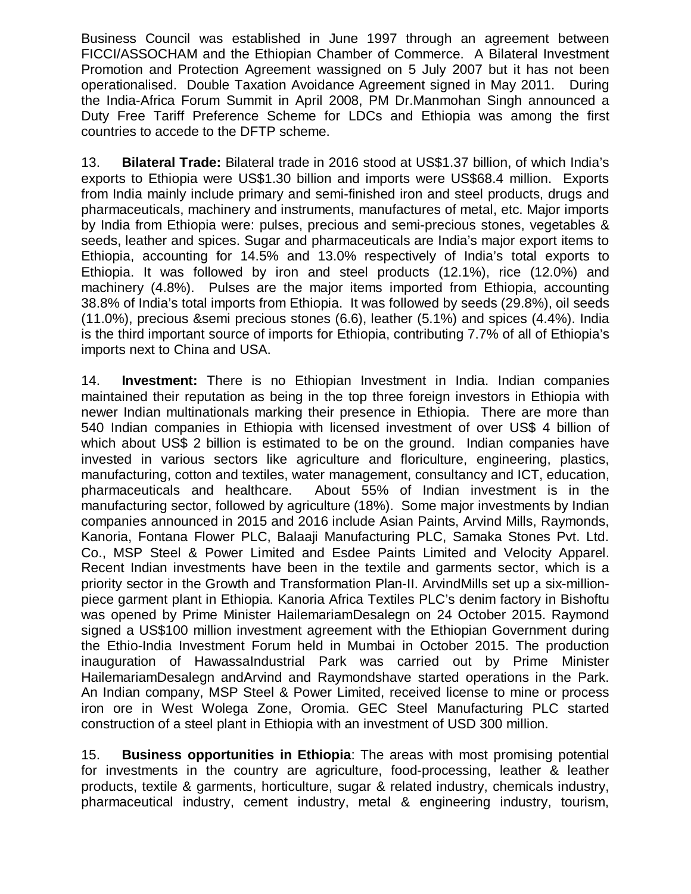Business Council was established in June 1997 through an agreement between FICCI/ASSOCHAM and the Ethiopian Chamber of Commerce. A Bilateral Investment Promotion and Protection Agreement wassigned on 5 July 2007 but it has not been operationalised. Double Taxation Avoidance Agreement signed in May 2011. During the India-Africa Forum Summit in April 2008, PM Dr.Manmohan Singh announced a Duty Free Tariff Preference Scheme for LDCs and Ethiopia was among the first countries to accede to the DFTP scheme.

13. **Bilateral Trade:** Bilateral trade in 2016 stood at US\$1.37 billion, of which India's exports to Ethiopia were US\$1.30 billion and imports were US\$68.4 million. Exports from India mainly include primary and semi-finished iron and steel products, drugs and pharmaceuticals, machinery and instruments, manufactures of metal, etc. Major imports by India from Ethiopia were: pulses, precious and semi-precious stones, vegetables & seeds, leather and spices. Sugar and pharmaceuticals are India's major export items to Ethiopia, accounting for 14.5% and 13.0% respectively of India's total exports to Ethiopia. It was followed by iron and steel products (12.1%), rice (12.0%) and machinery (4.8%). Pulses are the major items imported from Ethiopia, accounting 38.8% of India's total imports from Ethiopia. It was followed by seeds (29.8%), oil seeds (11.0%), precious &semi precious stones (6.6), leather (5.1%) and spices (4.4%). India is the third important source of imports for Ethiopia, contributing 7.7% of all of Ethiopia's imports next to China and USA.

14. **Investment:** There is no Ethiopian Investment in India. Indian companies maintained their reputation as being in the top three foreign investors in Ethiopia with newer Indian multinationals marking their presence in Ethiopia. There are more than 540 Indian companies in Ethiopia with licensed investment of over US\$ 4 billion of which about US\$ 2 billion is estimated to be on the ground. Indian companies have invested in various sectors like agriculture and floriculture, engineering, plastics, manufacturing, cotton and textiles, water management, consultancy and ICT, education, pharmaceuticals and healthcare. About 55% of Indian investment is in the manufacturing sector, followed by agriculture (18%). Some major investments by Indian companies announced in 2015 and 2016 include Asian Paints, Arvind Mills, Raymonds, Kanoria, Fontana Flower PLC, Balaaji Manufacturing PLC, Samaka Stones Pvt. Ltd. Co., MSP Steel & Power Limited and Esdee Paints Limited and Velocity Apparel. Recent Indian investments have been in the textile and garments sector, which is a priority sector in the Growth and Transformation Plan-II. ArvindMills set up a six-millionpiece garment plant in Ethiopia. Kanoria Africa Textiles PLC's denim factory in Bishoftu was opened by Prime Minister HailemariamDesalegn on 24 October 2015. Raymond signed a US\$100 million investment agreement with the Ethiopian Government during the Ethio-India Investment Forum held in Mumbai in October 2015. The production inauguration of HawassaIndustrial Park was carried out by Prime Minister HailemariamDesalegn andArvind and Raymondshave started operations in the Park. An Indian company, MSP Steel & Power Limited, received license to mine or process iron ore in West Wolega Zone, Oromia. GEC Steel Manufacturing PLC started construction of a steel plant in Ethiopia with an investment of USD 300 million.

15. **Business opportunities in Ethiopia**: The areas with most promising potential for investments in the country are agriculture, food-processing, leather & leather products, textile & garments, horticulture, sugar & related industry, chemicals industry, pharmaceutical industry, cement industry, metal & engineering industry, tourism,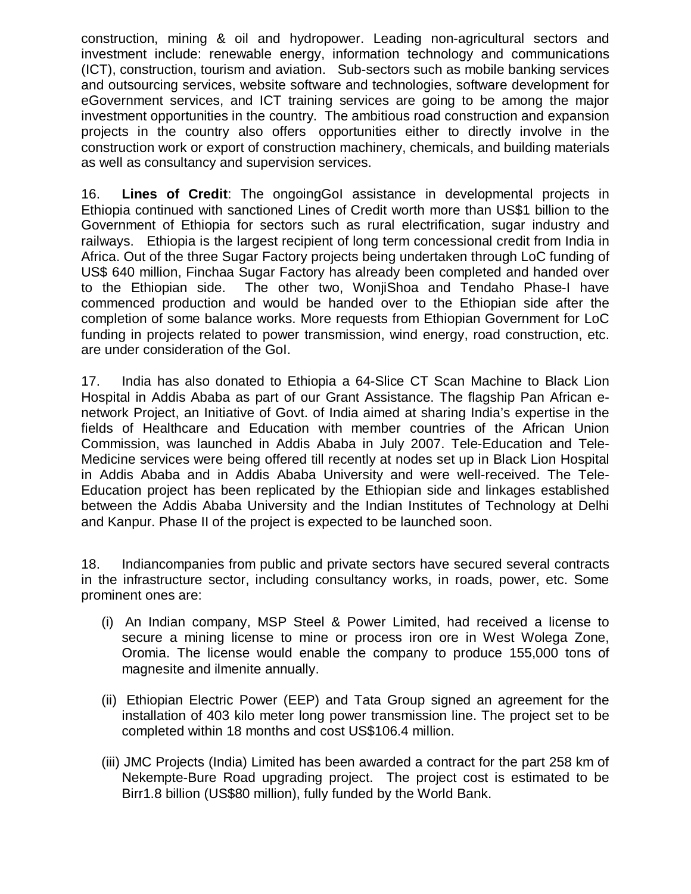construction, mining & oil and hydropower. Leading non-agricultural sectors and investment include: renewable energy, information technology and communications (ICT), construction, tourism and aviation. Sub-sectors such as mobile banking services and outsourcing services, website software and technologies, software development for eGovernment services, and ICT training services are going to be among the major investment opportunities in the country. The ambitious road construction and expansion projects in the country also offers opportunities either to directly involve in the construction work or export of construction machinery, chemicals, and building materials as well as consultancy and supervision services.

16. **Lines of Credit**: The ongoingGoI assistance in developmental projects in Ethiopia continued with sanctioned Lines of Credit worth more than US\$1 billion to the Government of Ethiopia for sectors such as rural electrification, sugar industry and railways. Ethiopia is the largest recipient of long term concessional credit from India in Africa. Out of the three Sugar Factory projects being undertaken through LoC funding of US\$ 640 million, Finchaa Sugar Factory has already been completed and handed over to the Ethiopian side. The other two, WonjiShoa and Tendaho Phase-I have commenced production and would be handed over to the Ethiopian side after the completion of some balance works. More requests from Ethiopian Government for LoC funding in projects related to power transmission, wind energy, road construction, etc. are under consideration of the GoI.

17. India has also donated to Ethiopia a 64-Slice CT Scan Machine to Black Lion Hospital in Addis Ababa as part of our Grant Assistance. The flagship Pan African enetwork Project, an Initiative of Govt. of India aimed at sharing India's expertise in the fields of Healthcare and Education with member countries of the African Union Commission, was launched in Addis Ababa in July 2007. Tele-Education and Tele-Medicine services were being offered till recently at nodes set up in Black Lion Hospital in Addis Ababa and in Addis Ababa University and were well-received. The Tele-Education project has been replicated by the Ethiopian side and linkages established between the Addis Ababa University and the Indian Institutes of Technology at Delhi and Kanpur. Phase II of the project is expected to be launched soon.

18. Indiancompanies from public and private sectors have secured several contracts in the infrastructure sector, including consultancy works, in roads, power, etc. Some prominent ones are:

- (i) An Indian company, MSP Steel & Power Limited, had received a license to secure a mining license to mine or process iron ore in West Wolega Zone, Oromia. The license would enable the company to produce 155,000 tons of magnesite and ilmenite annually.
- (ii) Ethiopian Electric Power (EEP) and Tata Group signed an agreement for the installation of 403 kilo meter long power transmission line. The project set to be completed within 18 months and cost US\$106.4 million.
- (iii) JMC Projects (India) Limited has been awarded a contract for the part 258 km of Nekempte-Bure Road upgrading project. The project cost is estimated to be Birr1.8 billion (US\$80 million), fully funded by the World Bank.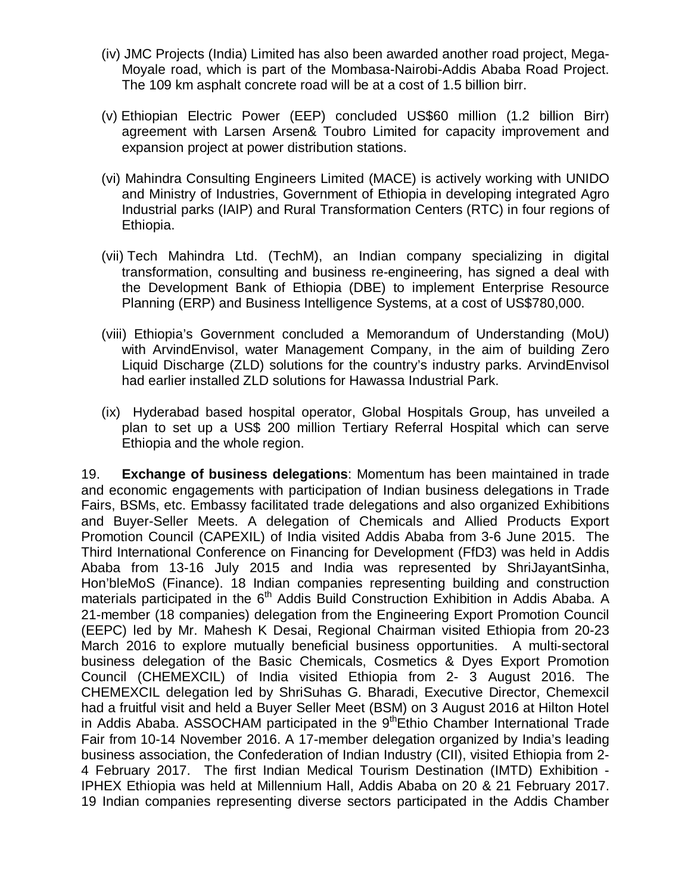- (iv) JMC Projects (India) Limited has also been awarded another road project, Mega-Moyale road, which is part of the Mombasa-Nairobi-Addis Ababa Road Project. The 109 km asphalt concrete road will be at a cost of 1.5 billion birr.
- (v) Ethiopian Electric Power (EEP) concluded US\$60 million (1.2 billion Birr) agreement with Larsen Arsen& Toubro Limited for capacity improvement and expansion project at power distribution stations.
- (vi) Mahindra Consulting Engineers Limited (MACE) is actively working with UNIDO and Ministry of Industries, Government of Ethiopia in developing integrated Agro Industrial parks (IAIP) and Rural Transformation Centers (RTC) in four regions of Ethiopia.
- (vii) Tech Mahindra Ltd. (TechM), an Indian company specializing in digital transformation, consulting and business re-engineering, has signed a deal with the Development Bank of Ethiopia (DBE) to implement Enterprise Resource Planning (ERP) and Business Intelligence Systems, at a cost of US\$780,000.
- (viii) Ethiopia's Government concluded a Memorandum of Understanding (MoU) with ArvindEnvisol, water Management Company, in the aim of building Zero Liquid Discharge (ZLD) solutions for the country's industry parks. ArvindEnvisol had earlier installed ZLD solutions for Hawassa Industrial Park.
- (ix) Hyderabad based hospital operator, Global Hospitals Group, has unveiled a plan to set up a US\$ 200 million Tertiary Referral Hospital which can serve Ethiopia and the whole region.

19. **Exchange of business delegations**: Momentum has been maintained in trade and economic engagements with participation of Indian business delegations in Trade Fairs, BSMs, etc. Embassy facilitated trade delegations and also organized Exhibitions and Buyer-Seller Meets. A delegation of Chemicals and Allied Products Export Promotion Council (CAPEXIL) of India visited Addis Ababa from 3-6 June 2015. The Third International Conference on Financing for Development (FfD3) was held in Addis Ababa from 13-16 July 2015 and India was represented by ShriJayantSinha, Hon'bleMoS (Finance). 18 Indian companies representing building and construction materials participated in the  $6<sup>th</sup>$  Addis Build Construction Exhibition in Addis Ababa. A 21-member (18 companies) delegation from the Engineering Export Promotion Council (EEPC) led by Mr. Mahesh K Desai, Regional Chairman visited Ethiopia from 20-23 March 2016 to explore mutually beneficial business opportunities. A multi-sectoral business delegation of the Basic Chemicals, Cosmetics & Dyes Export Promotion Council (CHEMEXCIL) of India visited Ethiopia from 2- 3 August 2016. The CHEMEXCIL delegation led by ShriSuhas G. Bharadi, Executive Director, Chemexcil had a fruitful visit and held a Buyer Seller Meet (BSM) on 3 August 2016 at Hilton Hotel in Addis Ababa. ASSOCHAM participated in the 9<sup>th</sup>Ethio Chamber International Trade Fair from 10-14 November 2016. A 17-member delegation organized by India's leading business association, the Confederation of Indian Industry (CII), visited Ethiopia from 2- 4 February 2017. The first Indian Medical Tourism Destination (IMTD) Exhibition - IPHEX Ethiopia was held at Millennium Hall, Addis Ababa on 20 & 21 February 2017. 19 Indian companies representing diverse sectors participated in the Addis Chamber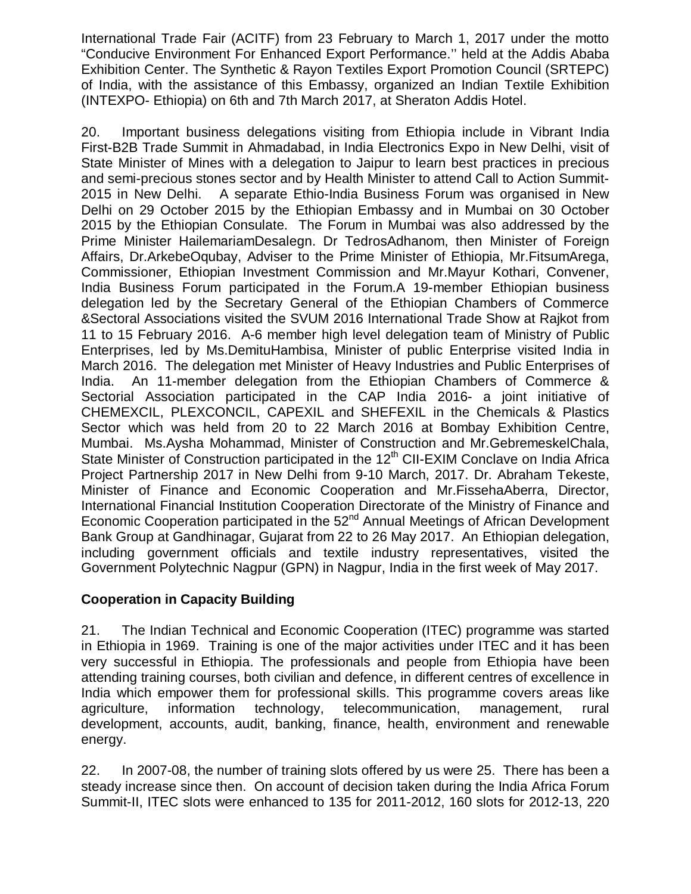International Trade Fair (ACITF) from 23 February to March 1, 2017 under the motto "Conducive Environment For Enhanced Export Performance.'' held at the Addis Ababa Exhibition Center. The Synthetic & Rayon Textiles Export Promotion Council (SRTEPC) of India, with the assistance of this Embassy, organized an Indian Textile Exhibition (INTEXPO- Ethiopia) on 6th and 7th March 2017, at Sheraton Addis Hotel.

20. Important business delegations visiting from Ethiopia include in Vibrant India First-B2B Trade Summit in Ahmadabad, in India Electronics Expo in New Delhi, visit of State Minister of Mines with a delegation to Jaipur to learn best practices in precious and semi-precious stones sector and by Health Minister to attend Call to Action Summit-2015 in New Delhi. A separate Ethio-India Business Forum was organised in New Delhi on 29 October 2015 by the Ethiopian Embassy and in Mumbai on 30 October 2015 by the Ethiopian Consulate. The Forum in Mumbai was also addressed by the Prime Minister HailemariamDesalegn. Dr TedrosAdhanom, then Minister of Foreign Affairs, Dr.ArkebeOqubay, Adviser to the Prime Minister of Ethiopia, Mr.FitsumArega, Commissioner, Ethiopian Investment Commission and Mr.Mayur Kothari, Convener, India Business Forum participated in the Forum.A 19-member Ethiopian business delegation led by the Secretary General of the Ethiopian Chambers of Commerce &Sectoral Associations visited the SVUM 2016 International Trade Show at Rajkot from 11 to 15 February 2016. A-6 member high level delegation team of Ministry of Public Enterprises, led by Ms.DemituHambisa, Minister of public Enterprise visited India in March 2016. The delegation met Minister of Heavy Industries and Public Enterprises of India. An 11-member delegation from the Ethiopian Chambers of Commerce & Sectorial Association participated in the CAP India 2016- a joint initiative of CHEMEXCIL, PLEXCONCIL, CAPEXIL and SHEFEXIL in the Chemicals & Plastics Sector which was held from 20 to 22 March 2016 at Bombay Exhibition Centre, Mumbai. Ms.Aysha Mohammad, Minister of Construction and Mr.GebremeskelChala, State Minister of Construction participated in the 12<sup>th</sup> CII-EXIM Conclave on India Africa Project Partnership 2017 in New Delhi from 9-10 March, 2017. Dr. Abraham Tekeste, Minister of Finance and Economic Cooperation and Mr.FissehaAberra, Director, International Financial Institution Cooperation Directorate of the Ministry of Finance and Economic Cooperation participated in the 52<sup>nd</sup> Annual Meetings of African Development Bank Group at Gandhinagar, Gujarat from 22 to 26 May 2017. An Ethiopian delegation, including government officials and textile industry representatives, visited the Government Polytechnic Nagpur (GPN) in Nagpur, India in the first week of May 2017.

## **Cooperation in Capacity Building**

21. The Indian Technical and Economic Cooperation (ITEC) programme was started in Ethiopia in 1969. Training is one of the major activities under ITEC and it has been very successful in Ethiopia. The professionals and people from Ethiopia have been attending training courses, both civilian and defence, in different centres of excellence in India which empower them for professional skills. This programme covers areas like agriculture, information technology, telecommunication, management, rural development, accounts, audit, banking, finance, health, environment and renewable energy.

22. In 2007-08, the number of training slots offered by us were 25. There has been a steady increase since then. On account of decision taken during the India Africa Forum Summit-II, ITEC slots were enhanced to 135 for 2011-2012, 160 slots for 2012-13, 220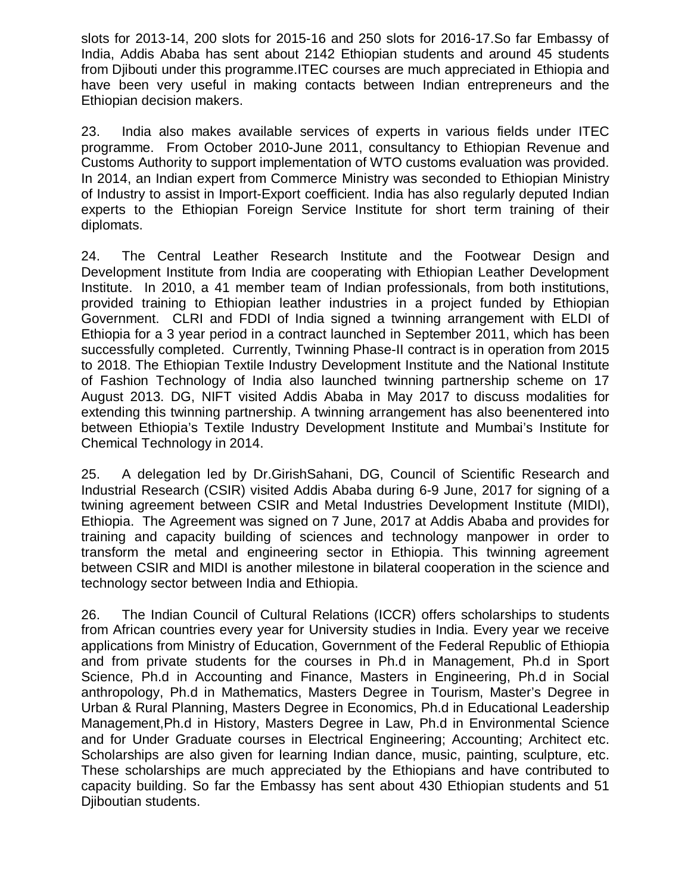slots for 2013-14, 200 slots for 2015-16 and 250 slots for 2016-17.So far Embassy of India, Addis Ababa has sent about 2142 Ethiopian students and around 45 students from Djibouti under this programme.ITEC courses are much appreciated in Ethiopia and have been very useful in making contacts between Indian entrepreneurs and the Ethiopian decision makers.

23. India also makes available services of experts in various fields under ITEC programme. From October 2010-June 2011, consultancy to Ethiopian Revenue and Customs Authority to support implementation of WTO customs evaluation was provided. In 2014, an Indian expert from Commerce Ministry was seconded to Ethiopian Ministry of Industry to assist in Import-Export coefficient. India has also regularly deputed Indian experts to the Ethiopian Foreign Service Institute for short term training of their diplomats.

24. The Central Leather Research Institute and the Footwear Design and Development Institute from India are cooperating with Ethiopian Leather Development Institute. In 2010, a 41 member team of Indian professionals, from both institutions, provided training to Ethiopian leather industries in a project funded by Ethiopian Government. CLRI and FDDI of India signed a twinning arrangement with ELDI of Ethiopia for a 3 year period in a contract launched in September 2011, which has been successfully completed. Currently, Twinning Phase-II contract is in operation from 2015 to 2018. The Ethiopian Textile Industry Development Institute and the National Institute of Fashion Technology of India also launched twinning partnership scheme on 17 August 2013. DG, NIFT visited Addis Ababa in May 2017 to discuss modalities for extending this twinning partnership. A twinning arrangement has also beenentered into between Ethiopia's Textile Industry Development Institute and Mumbai's Institute for Chemical Technology in 2014.

25. A delegation led by Dr.GirishSahani, DG, Council of Scientific Research and Industrial Research (CSIR) visited Addis Ababa during 6-9 June, 2017 for signing of a twining agreement between CSIR and Metal Industries Development Institute (MIDI), Ethiopia. The Agreement was signed on 7 June, 2017 at Addis Ababa and provides for training and capacity building of sciences and technology manpower in order to transform the metal and engineering sector in Ethiopia. This twinning agreement between CSIR and MIDI is another milestone in bilateral cooperation in the science and technology sector between India and Ethiopia.

26. The Indian Council of Cultural Relations (ICCR) offers scholarships to students from African countries every year for University studies in India. Every year we receive applications from Ministry of Education, Government of the Federal Republic of Ethiopia and from private students for the courses in Ph.d in Management, Ph.d in Sport Science, Ph.d in Accounting and Finance, Masters in Engineering, Ph.d in Social anthropology, Ph.d in Mathematics, Masters Degree in Tourism, Master's Degree in Urban & Rural Planning, Masters Degree in Economics, Ph.d in Educational Leadership Management,Ph.d in History, Masters Degree in Law, Ph.d in Environmental Science and for Under Graduate courses in Electrical Engineering; Accounting; Architect etc. Scholarships are also given for learning Indian dance, music, painting, sculpture, etc. These scholarships are much appreciated by the Ethiopians and have contributed to capacity building. So far the Embassy has sent about 430 Ethiopian students and 51 Djiboutian students.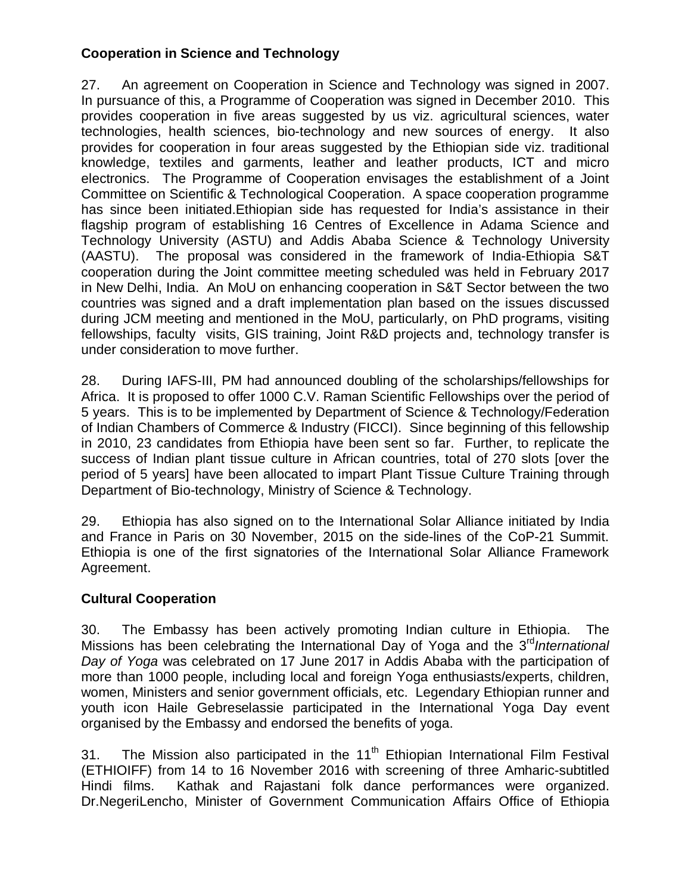# **Cooperation in Science and Technology**

27. An agreement on Cooperation in Science and Technology was signed in 2007. In pursuance of this, a Programme of Cooperation was signed in December 2010. This provides cooperation in five areas suggested by us viz. agricultural sciences, water technologies, health sciences, bio-technology and new sources of energy. It also provides for cooperation in four areas suggested by the Ethiopian side viz. traditional knowledge, textiles and garments, leather and leather products, ICT and micro electronics. The Programme of Cooperation envisages the establishment of a Joint Committee on Scientific & Technological Cooperation. A space cooperation programme has since been initiated.Ethiopian side has requested for India's assistance in their flagship program of establishing 16 Centres of Excellence in Adama Science and Technology University (ASTU) and Addis Ababa Science & Technology University (AASTU). The proposal was considered in the framework of India-Ethiopia S&T cooperation during the Joint committee meeting scheduled was held in February 2017 in New Delhi, India. An MoU on enhancing cooperation in S&T Sector between the two countries was signed and a draft implementation plan based on the issues discussed during JCM meeting and mentioned in the MoU, particularly, on PhD programs, visiting fellowships, faculty visits, GIS training, Joint R&D projects and, technology transfer is under consideration to move further.

28. During IAFS-III, PM had announced doubling of the scholarships/fellowships for Africa. It is proposed to offer 1000 C.V. Raman Scientific Fellowships over the period of 5 years. This is to be implemented by Department of Science & Technology/Federation of Indian Chambers of Commerce & Industry (FICCI). Since beginning of this fellowship in 2010, 23 candidates from Ethiopia have been sent so far. Further, to replicate the success of Indian plant tissue culture in African countries, total of 270 slots [over the period of 5 years] have been allocated to impart Plant Tissue Culture Training through Department of Bio-technology, Ministry of Science & Technology.

29. Ethiopia has also signed on to the International Solar Alliance initiated by India and France in Paris on 30 November, 2015 on the side-lines of the CoP-21 Summit. Ethiopia is one of the first signatories of the International Solar Alliance Framework Agreement.

## **Cultural Cooperation**

30. The Embassy has been actively promoting Indian culture in Ethiopia. The Missions has been celebrating the International Day of Yoga and the 3<sup>rd</sup>International *Day of Yoga* was celebrated on 17 June 2017 in Addis Ababa with the participation of more than 1000 people, including local and foreign Yoga enthusiasts/experts, children, women, Ministers and senior government officials, etc. Legendary Ethiopian runner and youth icon Haile Gebreselassie participated in the International Yoga Day event organised by the Embassy and endorsed the benefits of yoga.

31. The Mission also participated in the  $11<sup>th</sup>$  Ethiopian International Film Festival (ETHIOIFF) from 14 to 16 November 2016 with screening of three Amharic-subtitled Hindi films. Kathak and Rajastani folk dance performances were organized. Dr.NegeriLencho, Minister of Government Communication Affairs Office of Ethiopia